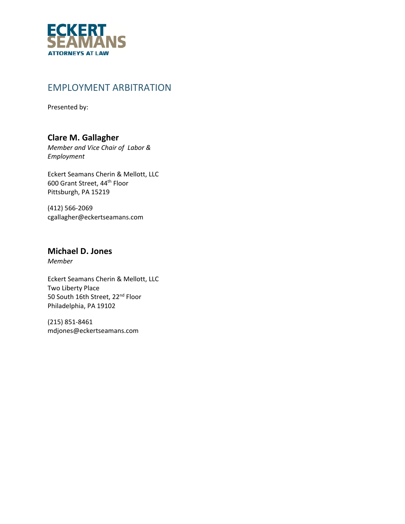

### EMPLOYMENT ARBITRATION

Presented by:

### **Clare M. Gallagher**

*Member and Vice Chair of Labor & Employment* 

Eckert Seamans Cherin & Mellott, LLC 600 Grant Street, 44th Floor Pittsburgh, PA 15219

(412) 566‐2069 cgallagher@eckertseamans.com

#### **Michael D. Jones**

*Member*

Eckert Seamans Cherin & Mellott, LLC Two Liberty Place 50 South 16th Street, 22<sup>nd</sup> Floor Philadelphia, PA 19102

(215) 851‐8461 mdjones@eckertseamans.com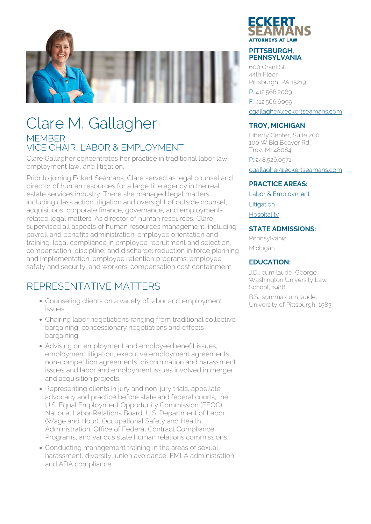

## Clare M. Gallagher MEMBER VICE CHAIR, LABOR & EMPLOYMENT

Clare Gallagher concentrates her practice in traditional labor law, employment law, and litigation.

Prior to joining Eckert Seamans, Clare served as legal counsel and director of human resources for a large title agency in the real estate services industry. There she managed legal matters, including class action litigation and oversight of outside counsel, acquisitions, corporate finance, governance, and employmentrelated legal matters. As director of human resources, Clare supervised all aspects of human resources management, including payroll and benefits administration; employee orientation and training; legal compliance in employee recruitment and selection, compensation, discipline, and discharge; reduction in force planning and implementation; employee retention programs; employee safety and security; and workers' compensation cost containment.

## REPRESENTATIVE MATTERS

- Counseling clients on a variety of labor and employment issues.
- Chairing labor negotiations ranging from traditional collective bargaining, concessionary negotiations and effects bargaining.
- Advising on employment and employee benefit issues, employment litigation, executive employment agreements, non-competition agreements, discrimination and harassment issues and labor and employment issues involved in merger and acquisition projects.
- Representing clients in jury and non-jury trials, appellate advocacy and practice before state and federal courts, the U.S. Equal Employment Opportunity Commission (EEOC), National Labor Relations Board, U.S. Department of Labor (Wage and Hour), Occupational Safety and Health Administration, Office of Federal Contract Compliance Programs, and various state human relations commissions.
- Conducting management training in the areas of sexual harassment, diversity, union avoidance, FMLA administration, and ADA compliance.



#### **PITTSBURGH, PENNSYLVANIA**

600 Grant St. 44th Floor Pittsburgh, PA 15219 P: 412.566.2069 F: 412.566.6099 [cgallagher@eckertseamans.com](mailto:cgallagher@eckertseamans.com)

#### **TROY, MICHIGAN**

Liberty Center, Suite 200 100 W Big Beaver Rd. Troy, MI 48084 P: 248.526.0571

[cgallagher@eckertseamans.com](mailto:cgallagher@eckertseamans.com)

#### **PRACTICE AREAS:**

[Labor & Employment](https://www.eckertseamans.com/our-practices/labor-employment)

**[Litigation](https://www.eckertseamans.com/our-practices/litigation)** 

[Hospitality](https://www.eckertseamans.com/our-practices/hospitality)

#### **STATE ADMISSIONS:**

Pennsylvania Michigan

#### **EDUCATION:**

J.D., cum laude, George Washington University Law School, 1986

B.S., summa cum laude, University of Pittsburgh, 1983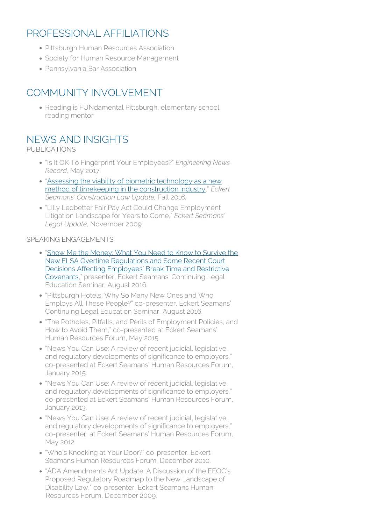### PROFESSIONAL AFFILIATIONS

- Pittsburgh Human Resources Association
- Society for Human Resource Management
- Pennsylvania Bar Association

### COMMUNITY INVOLVEMENT

• Reading is FUNdamental Pittsburgh, elementary school reading mentor

### NEWS AND INSIGHTS

PUBLICATIONS

- "Is It OK To Fingerprint Your Employees?" *Engineering News-Record*, May 2017.
- "[Assessing the viability of biometric technology as a new](https://www.eckertseamans.com/app/uploads/ConstructionFall2016.pdf) [method of timekeeping in the construction industry,](https://www.eckertseamans.com/app/uploads/ConstructionFall2016.pdf)" *Eckert Seamans' Construction Law Update,* Fall 2016*.*
- "Lilly Ledbetter Fair Pay Act Could Change Employment Litigation Landscape for Years to Come," *Eckert Seamans' Legal Update*, November 2009.

#### SPEAKING ENGAGEMENTS

- "[Show Me the Money: What You Need to Know to Survive the](http://www.eckertseamans.com/app/uploads/9-Gallagher.pdf) [New FLSA Overtime Regulations and Some Recent Court](http://www.eckertseamans.com/app/uploads/9-Gallagher.pdf) [Decisions Affecting Employees' Break Time and Restrictive](http://www.eckertseamans.com/app/uploads/9-Gallagher.pdf) [Covenants](http://www.eckertseamans.com/app/uploads/9-Gallagher.pdf)," presenter, Eckert Seamans' Continuing Legal Education Seminar, August 2016.
- "Pittsburgh Hotels: Why So Many New Ones and Who Employs All These People?" co-presenter, Eckert Seamans' Continuing Legal Education Seminar, August 2016.
- "The Potholes, Pitfalls, and Perils of Employment Policies, and How to Avoid Them," co-presented at Eckert Seamans' Human Resources Forum, May 2015.
- "News You Can Use: A review of recent judicial, legislative, and regulatory developments of significance to employers," co-presented at Eckert Seamans' Human Resources Forum, January 2015.
- "News You Can Use: A review of recent judicial, legislative, and regulatory developments of significance to employers," co-presented at Eckert Seamans' Human Resources Forum, January 2013.
- "News You Can Use: A review of recent judicial, legislative, and regulatory developments of significance to employers." co-presenter, at Eckert Seamans' Human Resources Forum, May 2012.
- "Who's Knocking at Your Door?" co-presenter, Eckert Seamans Human Resources Forum, December 2010.
- "ADA Amendments Act Update: A Discussion of the EEOC's Proposed Regulatory Roadmap to the New Landscape of Disability Law," co-presenter, Eckert Seamans Human Resources Forum, December 2009.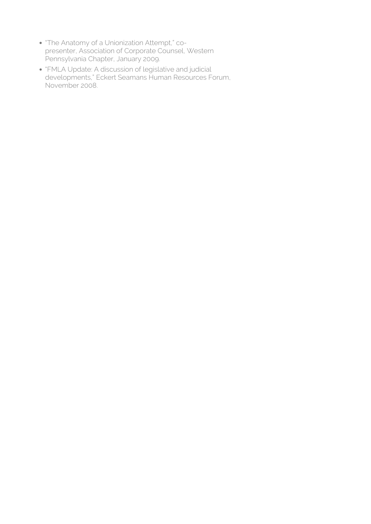- . The Anatomy of a Unionization Attempt," copresenter, Association of Corporate Counsel, Western Pennsylvania Chapter, January 2009.
- "FMLA Update: A discussion of legislative and judicial developments," Eckert Seamans Human Resources Forum, November 2008.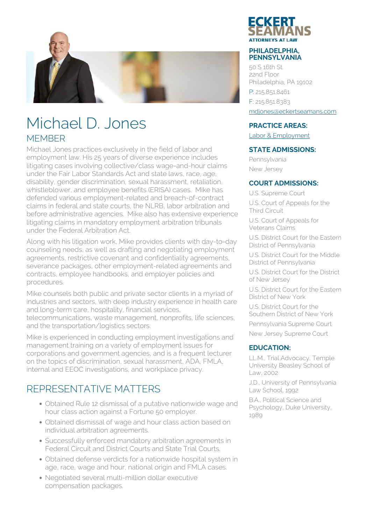

## Michael D. Jones **MEMBER**

Michael Jones practices exclusively in the field of labor and employment law. His 25 years of diverse experience includes litigating cases involving collective/class wage-and-hour claims under the Fair Labor Standards Act and state laws, race, age, disability, gender discrimination, sexual harassment, retaliation, whistleblower, and employee benefits (ERISA) cases. Mike has defended various employment-related and breach-of-contract claims in federal and state courts, the NLRB, labor arbitration and before administrative agencies. Mike also has extensive experience litigating claims in mandatory employment arbitration tribunals under the Federal Arbitration Act.

Along with his litigation work, Mike provides clients with day-to-day counseling needs, as well as drafting and negotiating employment agreements, restrictive covenant and confidentiality agreements, severance packages, other employment-related agreements and contracts, employee handbooks, and employer policies and procedures.

Mike counsels both public and private sector clients in a myriad of industries and sectors, with deep industry experience in health care and long-term care, hospitality, financial services, telecommunications, waste management, nonprofits, life sciences,

and the transportation/logistics sectors.

Mike is experienced in conducting employment investigations and management training on a variety of employment issues for corporations and government agencies, and is a frequent lecturer on the topics of discrimination, sexual harassment, ADA, FMLA, internal and EEOC investigations, and workplace privacy.

### REPRESENTATIVE MATTERS

- Obtained Rule 12 dismissal of a putative nationwide wage and hour class action against a Fortune 50 employer.
- Obtained dismissal of wage and hour class action based on individual arbitration agreements.
- Successfully enforced mandatory arbitration agreements in Federal Circuit and District Courts and State Trial Courts.
- Obtained defense verdicts for a nationwide hospital system in age, race, wage and hour, national origin and FMLA cases.
- Negotiated several multi-million dollar executive compensation packages.



#### **PHILADELPHIA, PENNSYLVANIA**

50 S 16th St. 22nd Floor Philadelphia, PA 19102 P: 215.851.8461 F: 215.851.8383 [mdjones@eckertseamans.com](mailto:mdjones@eckertseamans.com)

#### **PRACTICE AREAS:**

[Labor & Employment](https://www.eckertseamans.com/our-practices/labor-employment)

#### **STATE ADMISSIONS:**

Pennsylvania New Jersey

#### **COURT ADMISSIONS:**

U.S. Supreme Court U.S. Court of Appeals for the Third Circuit

U.S. Court of Appeals for Veterans Claims

U.S. District Court for the Eastern District of Pennsylvania

U.S. District Court for the Middle District of Pennsylvania

U.S. District Court for the District of New Jersey

U.S. District Court for the Eastern District of New York

U.S. District Court for the Southern District of New York

Pennsylvania Supreme Court

New Jersey Supreme Court

#### **EDUCATION:**

LL.M., Trial Advocacy, Temple University Beasley School of Law, 2002

J.D., University of Pennsylvania Law School, 1992

B.A., Political Science and Psychology, Duke University, 1989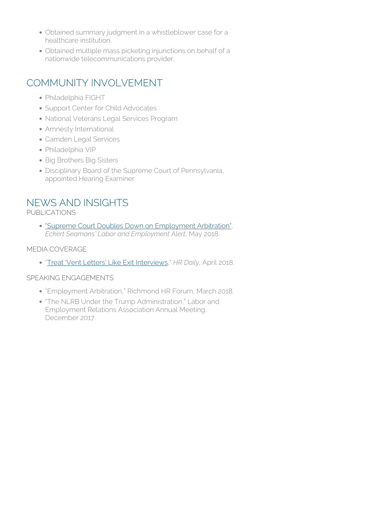- Obtained summary judgment in a whistleblower case for a healthcare institution.
- Obtained multiple mass picketing injunctions on behalf of a nationwide telecommunications provider.

### COMMUNITY INVOLVEMENT

- Philadelphia FIGHT
- Support Center for Child Advocates
- National Veterans Legal Services Program
- Amnesty International
- Camden Legal Services
- Philadelphia VIP
- Big Brothers Big Sisters
- Disciplinary Board of the Supreme Court of Pennsylvania, appointed Hearing Examiner

### NEWS AND INSIGHTS

PUBLICATIONS

["Supreme Court Doubles Down on Employment Arbitration",](https://www.eckertseamans.com/publications/supreme-court-doubles-down-on-employment-arbitration) *Eckert Seamans' Labor and Employment Alert*, May 2018.

#### MEDIA COVERAGE

"[Treat 'Vent Letters' Like Exit Interviews](https://www.shrm.org/ResourcesAndTools/legal-and-compliance/employment-law/Pages/vent-letters.aspx?utm_source=SHRM%20Tuesday%20-%20PublishThis_HRDaily__TEMPLATE%20(03.19.18%20DO%20NOT%20DELETE)%20(2)&utm_medium=email&utm_content=April%2017,%202018&SPMID=01577501&SPJD=10/25/2013&SPED=10/31/2018&SPSEG=Forward+Thinker&SPCERT=&spMailingID=33917637&spUserID=ODY0MzY0NzMyNzUS1&spJobID=1262036786&spReportId=MTI2MjAzNjc4NgS2)," *HR Daily*, April 2018.

#### SPEAKING ENGAGEMENTS

- "Employment Arbitration," Richmond HR Forum, March 2018.
- "The NLRB Under the Trump Administration," Labor and Employment Relations Association Annual Meeting, December 2017.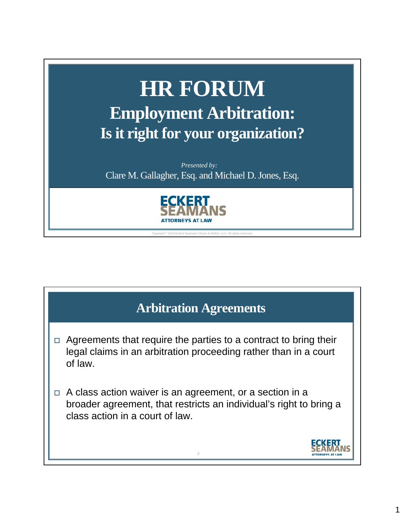

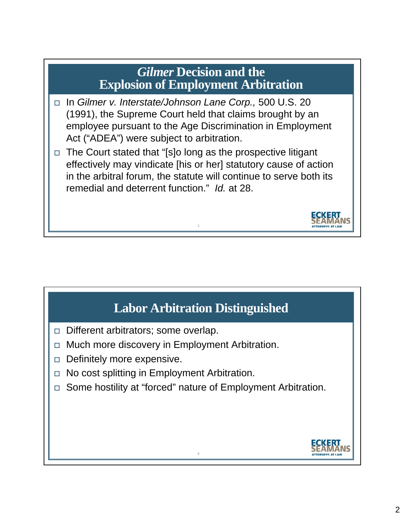### *Gilmer* **Decision and the Explosion of Employment Arbitration**

- In *Gilmer v. Interstate/Johnson Lane Corp.,* 500 U.S. 20 (1991), the Supreme Court held that claims brought by an employee pursuant to the Age Discrimination in Employment Act ("ADEA") were subject to arbitration.
- $\Box$  The Court stated that "[s]o long as the prospective litigant effectively may vindicate [his or her] statutory cause of action in the arbitral forum, the statute will continue to serve both its remedial and deterrent function." *Id.* at 28.

3

## **Labor Arbitration Distinguished**

- Different arbitrators; some overlap.
- □ Much more discovery in Employment Arbitration.
- $\Box$  Definitely more expensive.
- □ No cost splitting in Employment Arbitration.
- □ Some hostility at "forced" nature of Employment Arbitration.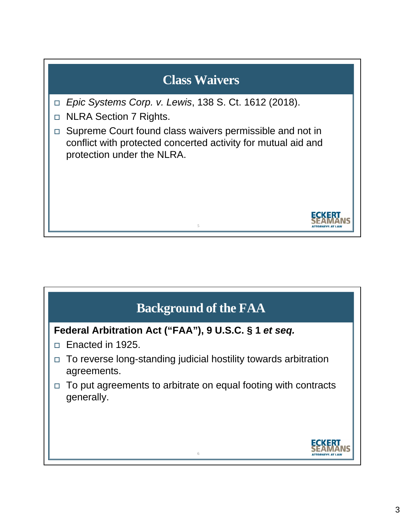## **Class Waivers**

- *Epic Systems Corp. v. Lewis*, 138 S. Ct. 1612 (2018).
- □ NLRA Section 7 Rights.
- □ Supreme Court found class waivers permissible and not in conflict with protected concerted activity for mutual aid and protection under the NLRA.

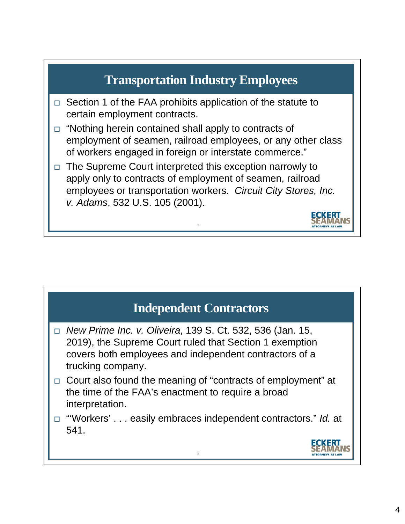

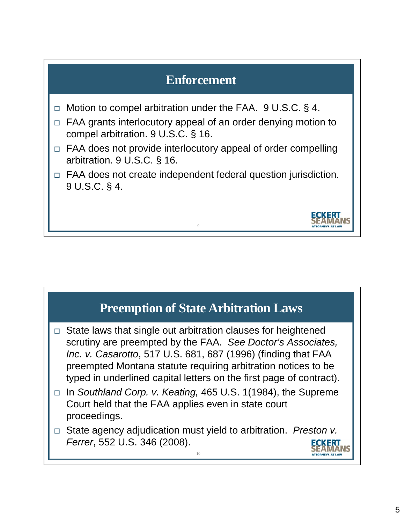## **Enforcement**

- $\Box$  Motion to compel arbitration under the FAA. 9 U.S.C. § 4.
- □ FAA grants interlocutory appeal of an order denying motion to compel arbitration. 9 U.S.C. § 16.
- $\Box$  FAA does not provide interlocutory appeal of order compelling arbitration. 9 U.S.C. § 16.
- $\Box$  FAA does not create independent federal question jurisdiction. 9 U.S.C. § 4.

9

## **Preemption of State Arbitration Laws**

- $\Box$  State laws that single out arbitration clauses for heightened scrutiny are preempted by the FAA. *See Doctor's Associates, Inc. v. Casarotto*, 517 U.S. 681, 687 (1996) (finding that FAA preempted Montana statute requiring arbitration notices to be typed in underlined capital letters on the first page of contract).
- In *Southland Corp. v. Keating,* 465 U.S. 1(1984), the Supreme Court held that the FAA applies even in state court proceedings.
- State agency adjudication must yield to arbitration. *Preston v. Ferrer*, 552 U.S. 346 (2008).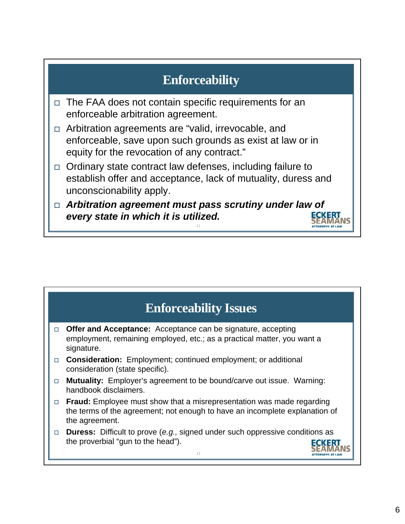## **Enforceability**

- $\Box$  The FAA does not contain specific requirements for an enforceable arbitration agreement.
- □ Arbitration agreements are "valid, irrevocable, and enforceable, save upon such grounds as exist at law or in equity for the revocation of any contract."
- $\Box$  Ordinary state contract law defenses, including failure to establish offer and acceptance, lack of mutuality, duress and unconscionability apply.
- *Arbitration agreement must pass scrutiny under law of every state in which it is utilized.*

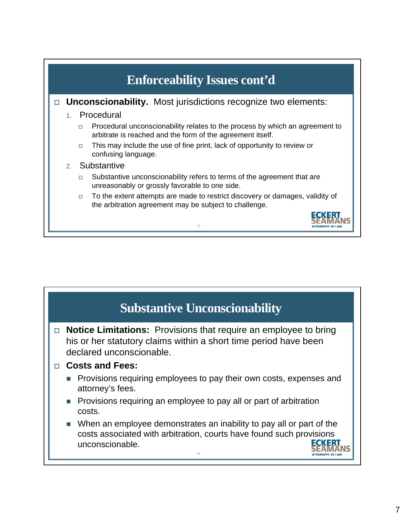

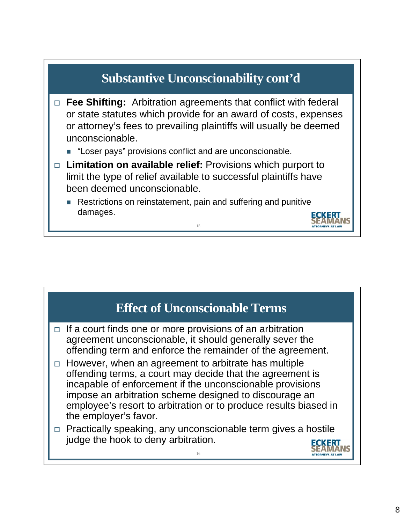

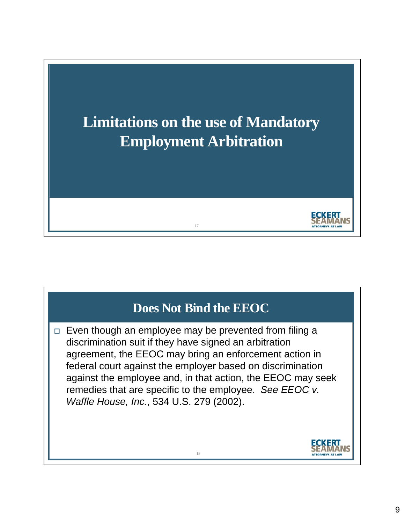

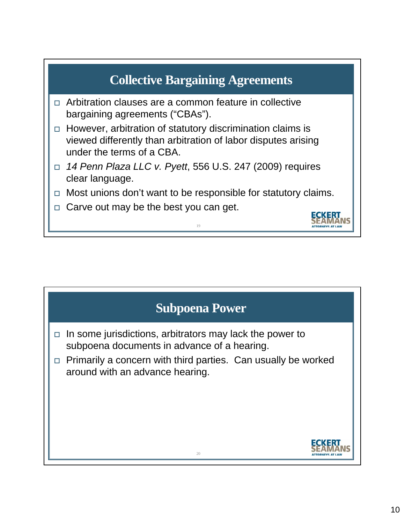

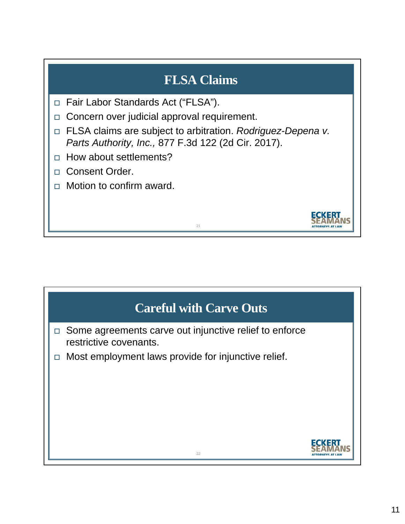## **FLSA Claims**

- □ Fair Labor Standards Act ("FLSA").
- $\Box$  Concern over judicial approval requirement.
- FLSA claims are subject to arbitration. *Rodriguez-Depena v. Parts Authority, Inc.,* 877 F.3d 122 (2d Cir. 2017).

21

- $\Box$  How about settlements?
- Consent Order.
- $\Box$  Motion to confirm award.

# **Careful with Carve Outs** □ Some agreements carve out injunctive relief to enforce restrictive covenants.  $\Box$  Most employment laws provide for injunctive relief.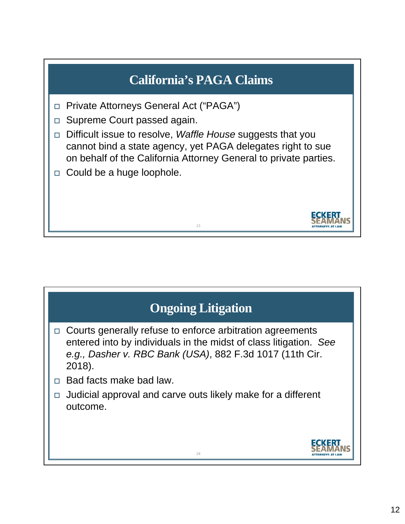

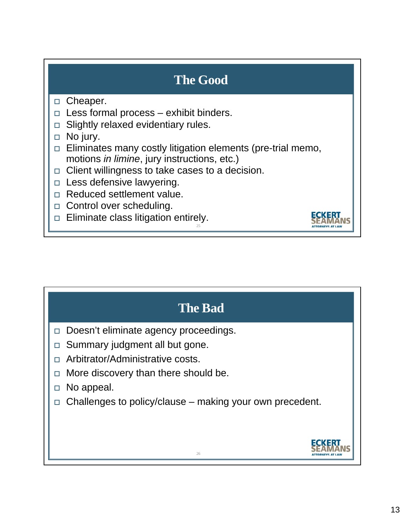## **The Good**

### □ Cheaper.

- $\Box$  Less formal process exhibit binders.
- $\Box$  Slightly relaxed evidentiary rules.
- □ No jury.
- $\Box$  Eliminates many costly litigation elements (pre-trial memo, motions *in limine*, jury instructions, etc.)

- $\Box$  Client willingness to take cases to a decision.
- $\Box$  Less defensive lawyering.
- □ Reduced settlement value.
- □ Control over scheduling.
- $\Box$  Eliminate class litigation entirely.

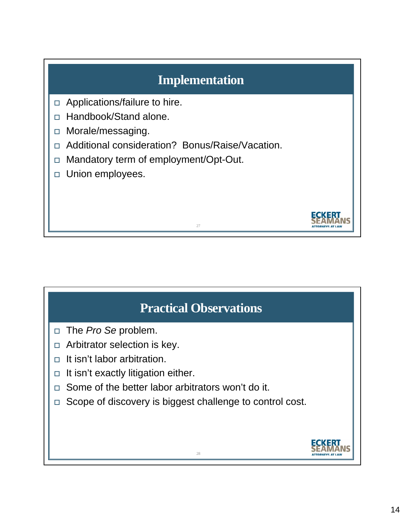## **Implementation**

- $\Box$  Applications/failure to hire.
- □ Handbook/Stand alone.
- □ Morale/messaging.
- Additional consideration? Bonus/Raise/Vacation.
- □ Mandatory term of employment/Opt-Out.
- **D** Union employees.

## **Practical Observations**

27

- □ The *Pro Se* problem.
- $\Box$  Arbitrator selection is key.
- $\Box$  It isn't labor arbitration.
- $\Box$  It isn't exactly litigation either.
- $\Box$  Some of the better labor arbitrators won't do it.
- □ Scope of discovery is biggest challenge to control cost.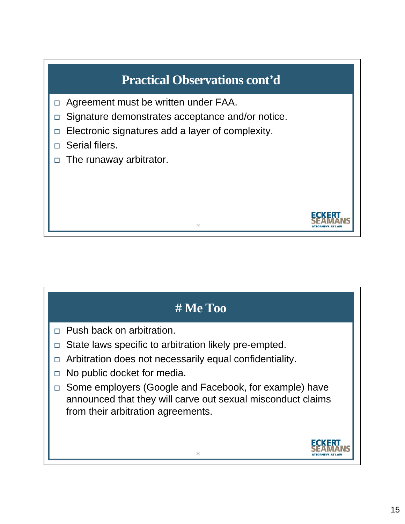